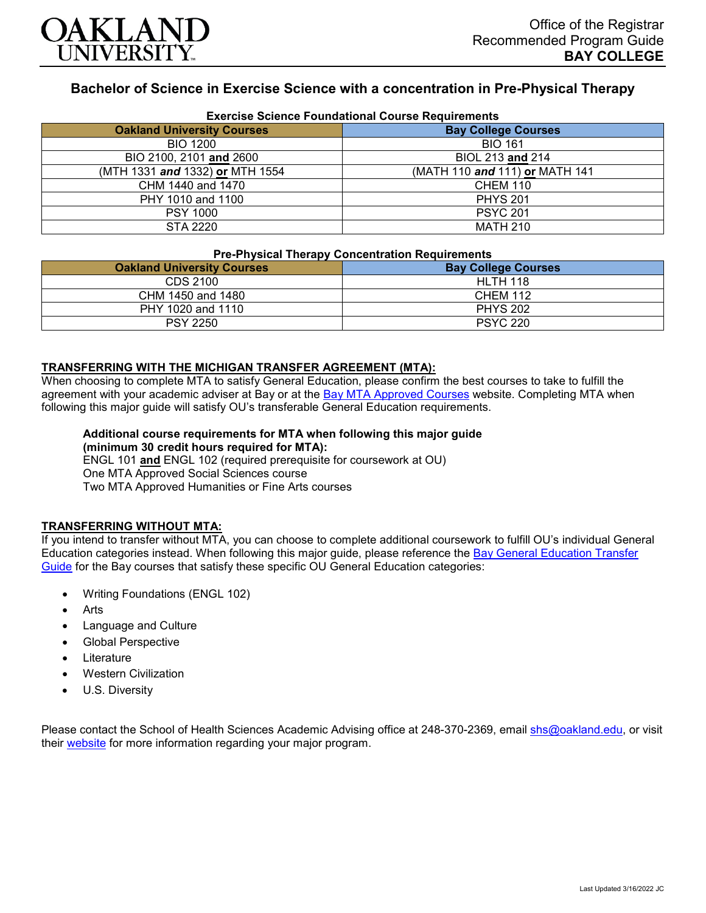

## **Bachelor of Science in Exercise Science with a concentration in Pre-Physical Therapy**

| <b>Exercise Science Foundational Course Requirements</b> |                                |
|----------------------------------------------------------|--------------------------------|
| <b>Oakland University Courses</b>                        | <b>Bay College Courses</b>     |
| <b>BIO 1200</b>                                          | <b>BIO 161</b>                 |
| BIO 2100, 2101 and 2600                                  | BIOL 213 and 214               |
| (MTH 1331 and 1332) or MTH 1554                          | (MATH 110 and 111) or MATH 141 |
| CHM 1440 and 1470                                        | <b>CHEM 110</b>                |
| PHY 1010 and 1100                                        | <b>PHYS 201</b>                |
| <b>PSY 1000</b>                                          | <b>PSYC 201</b>                |
| <b>STA 2220</b>                                          | <b>MATH 210</b>                |

# **Pre-Physical Therapy Concentration Requirements**

| <b>Oakland University Courses</b> | <b>Bay College Courses</b> |
|-----------------------------------|----------------------------|
| CDS 2100                          | <b>HLTH 118</b>            |
| CHM 1450 and 1480                 | <b>CHEM 112</b>            |
| PHY 1020 and 1110                 | <b>PHYS 202</b>            |
| <b>PSY 2250</b>                   | <b>PSYC 220</b>            |

### **TRANSFERRING WITH THE MICHIGAN TRANSFER AGREEMENT (MTA):**

When choosing to complete MTA to satisfy General Education, please confirm the best courses to take to fulfill the agreement with your academic adviser at Bay or at the [Bay MTA Approved Courses](https://www.baycollege.edu/admissions/transfer/transfer-agreements.php) website. Completing MTA when following this major guide will satisfy OU's transferable General Education requirements.

#### **Additional course requirements for MTA when following this major guide (minimum 30 credit hours required for MTA):**

ENGL 101 **and** ENGL 102 (required prerequisite for coursework at OU) One MTA Approved Social Sciences course Two MTA Approved Humanities or Fine Arts courses

#### **TRANSFERRING WITHOUT MTA:**

If you intend to transfer without MTA, you can choose to complete additional coursework to fulfill OU's individual General Education categories instead. When following this major guide, please reference the [Bay General Education Transfer](https://www.oakland.edu/Assets/Oakland/program-guides/bay-college/university-general-education-requirements/Bay%20Gen%20Ed.pdf)  [Guide](https://www.oakland.edu/Assets/Oakland/program-guides/bay-college/university-general-education-requirements/Bay%20Gen%20Ed.pdf) for the Bay courses that satisfy these specific OU General Education categories:

- Writing Foundations (ENGL 102)
- **Arts**
- Language and Culture
- Global Perspective
- **Literature**
- Western Civilization
- U.S. Diversity

Please contact the School of Health Sciences Academic Advising office at 248-370-2369, email [shs@oakland.edu,](mailto:shs@oakland.edu) or visit their [website](http://www.oakland.edu/shs/advising) for more information regarding your major program.